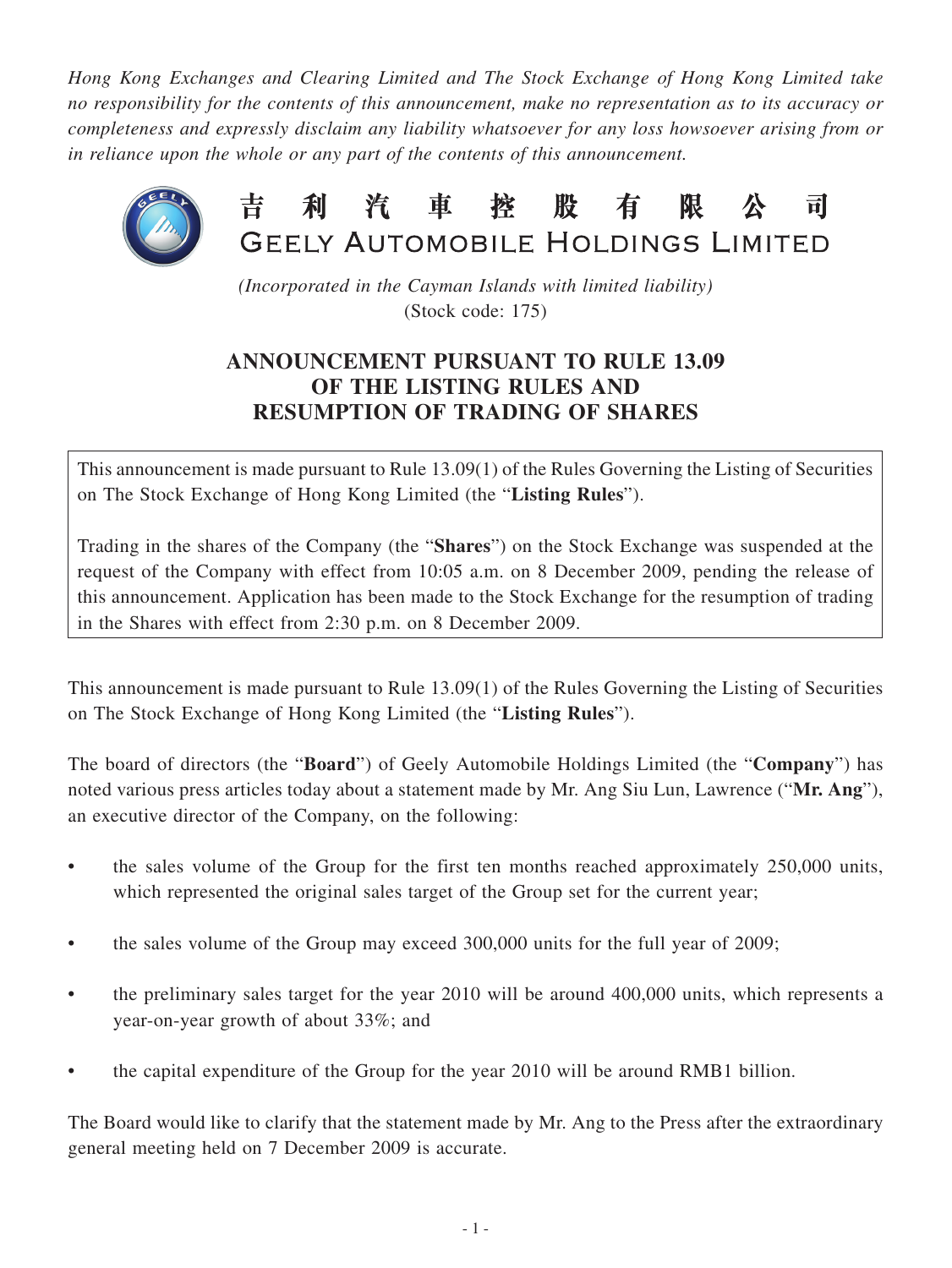*Hong Kong Exchanges and Clearing Limited and The Stock Exchange of Hong Kong Limited take no responsibility for the contents of this announcement, make no representation as to its accuracy or completeness and expressly disclaim any liability whatsoever for any loss howsoever arising from or in reliance upon the whole or any part of the contents of this announcement.*



*(Incorporated in the Cayman Islands with limited liability)* (Stock code: 175)

## **ANNOUNCEMENT PURSUANT TO RULE 13.09 OF THE LISTING RULES AND RESUMPTION OF TRADING OF SHARES**

This announcement is made pursuant to Rule 13.09(1) of the Rules Governing the Listing of Securities on The Stock Exchange of Hong Kong Limited (the "**Listing Rules**").

Trading in the shares of the Company (the "**Shares**") on the Stock Exchange was suspended at the request of the Company with effect from 10:05 a.m. on 8 December 2009, pending the release of this announcement. Application has been made to the Stock Exchange for the resumption of trading in the Shares with effect from 2:30 p.m. on 8 December 2009.

This announcement is made pursuant to Rule 13.09(1) of the Rules Governing the Listing of Securities on The Stock Exchange of Hong Kong Limited (the "**Listing Rules**").

The board of directors (the "**Board**") of Geely Automobile Holdings Limited (the "**Company**") has noted various press articles today about a statement made by Mr. Ang Siu Lun, Lawrence ("**Mr. Ang**"), an executive director of the Company, on the following:

- the sales volume of the Group for the first ten months reached approximately 250,000 units, which represented the original sales target of the Group set for the current year;
- the sales volume of the Group may exceed 300,000 units for the full year of 2009;
- the preliminary sales target for the year 2010 will be around 400,000 units, which represents a year-on-year growth of about 33%; and
- the capital expenditure of the Group for the year 2010 will be around RMB1 billion.

The Board would like to clarify that the statement made by Mr. Ang to the Press after the extraordinary general meeting held on 7 December 2009 is accurate.